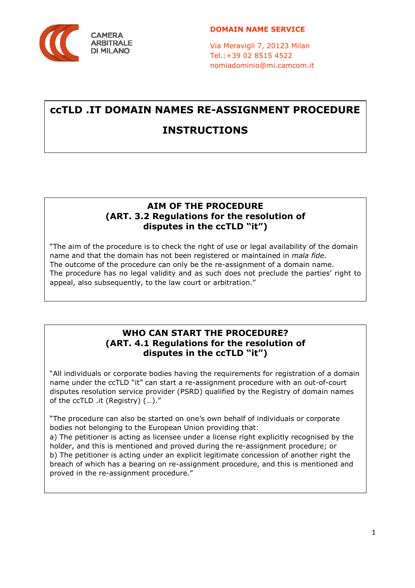

Via Meravigli 7, 20123 Milan Tel.:+39 02 8515 4522 nomiadominio@mi.camcom.it

# **ccTLD .IT DOMAIN NAMES RE-ASSIGNMENT PROCEDURE INSTRUCTIONS**

### **AIM OF THE PROCEDURE (ART. 3.2 Regulations for the resolution of disputes in the ccTLD "it")**

"The aim of the procedure is to check the right of use or legal availability of the domain name and that the domain has not been registered or maintained in *mala fide*. The outcome of the procedure can only be the re-assignment of a domain name. The procedure has no legal validity and as such does not preclude the parties' right to appeal, also subsequently, to the law court or arbitration."

### **WHO CAN START THE PROCEDURE? (ART. 4.1 Regulations for the resolution of disputes in the ccTLD "it")**

"All individuals or corporate bodies having the requirements for registration of a domain name under the ccTLD "it" can start a re-assignment procedure with an out-of-court disputes resolution service provider (PSRD) qualified by the Registry of domain names of the ccTLD .it (Registry) (…)."

"The procedure can also be started on one's own behalf of individuals or corporate bodies not belonging to the European Union providing that:

a) The petitioner is acting as licensee under a license right explicitly recognised by the holder, and this is mentioned and proved during the re-assignment procedure; or b) The petitioner is acting under an explicit legitimate concession of another right the breach of which has a bearing on re-assignment procedure, and this is mentioned and proved in the re-assignment procedure."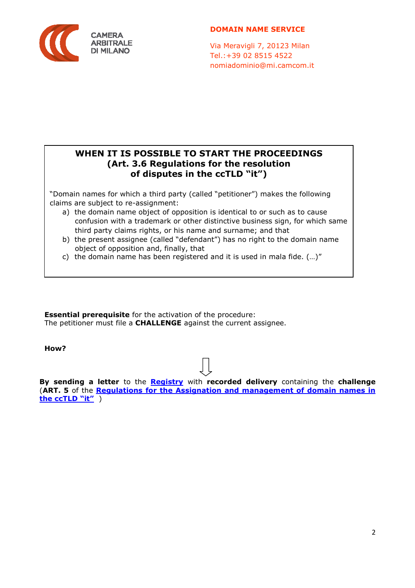

Via Meravigli 7, 20123 Milan Tel.:+39 02 8515 4522 nomiadominio@mi.camcom.it

### **WHEN IT IS POSSIBLE TO START THE PROCEEDINGS (Art. 3.6 Regulations for the resolution of disputes in the ccTLD "it")**

"Domain names for which a third party (called "petitioner") makes the following claims are subject to re-assignment:

- a) the domain name object of opposition is identical to or such as to cause confusion with a trademark or other distinctive business sign, for which same third party claims rights, or his name and surname; and that
- b) the present assignee (called "defendant") has no right to the domain name object of opposition and, finally, that
- c) the domain name has been registered and it is used in mala fide. (…)"

**Essential prerequisite** for the activation of the procedure: The petitioner must file a **CHALLENGE** against the current assignee.

**How?** 

**By sending a letter** to the **Registry** with **recorded delivery** containing the **challenge** (**ART. 5** of the **Regulations for the Assignation and management of domain names in the ccTLD "it"** )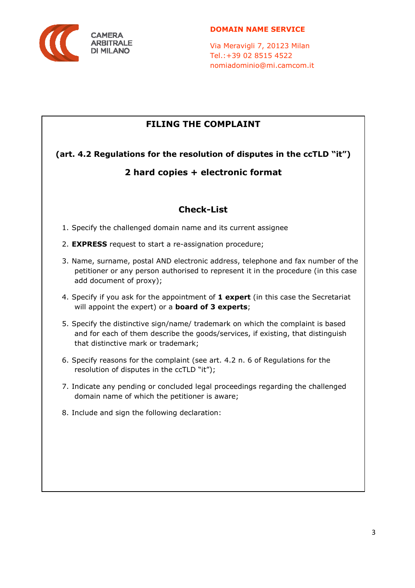

Via Meravigli 7, 20123 Milan Tel.:+39 02 8515 4522 nomiadominio@mi.camcom.it

# **FILING THE COMPLAINT**

**(art. 4.2 Regulations for the resolution of disputes in the ccTLD "it")** 

# **2 hard copies + electronic format**

# **Check-List**

- 1. Specify the challenged domain name and its current assignee
- 2. **EXPRESS** request to start a re-assignation procedure;
- 3. Name, surname, postal AND electronic address, telephone and fax number of the petitioner or any person authorised to represent it in the procedure (in this case add document of proxy);
- 4. Specify if you ask for the appointment of **1 expert** (in this case the Secretariat will appoint the expert) or a **board of 3 experts**;
- 5. Specify the distinctive sign/name/ trademark on which the complaint is based and for each of them describe the goods/services, if existing, that distinguish that distinctive mark or trademark;
- 6. Specify reasons for the complaint (see art. 4.2 n. 6 of Regulations for the resolution of disputes in the ccTLD "it");
- 7. Indicate any pending or concluded legal proceedings regarding the challenged domain name of which the petitioner is aware;
- 8. Include and sign the following declaration: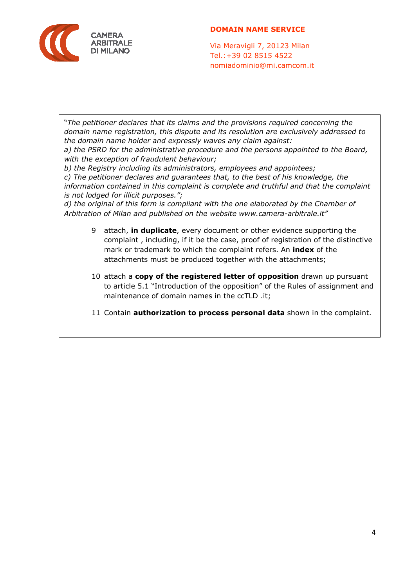

Via Meravigli 7, 20123 Milan Tel.:+39 02 8515 4522 nomiadominio@mi.camcom.it

"*The petitioner declares that its claims and the provisions required concerning the domain name registration, this dispute and its resolution are exclusively addressed to the domain name holder and expressly waves any claim against:* 

*a) the PSRD for the administrative procedure and the persons appointed to the Board, with the exception of fraudulent behaviour;* 

*b) the Registry including its administrators, employees and appointees;* 

*c) The petitioner declares and guarantees that, to the best of his knowledge, the information contained in this complaint is complete and truthful and that the complaint is not lodged for illicit purposes.";* 

*d) the original of this form is compliant with the one elaborated by the Chamber of Arbitration of Milan and published on the website www.camera-arbitrale.it"* 

- 9 attach, **in duplicate**, every document or other evidence supporting the complaint , including, if it be the case, proof of registration of the distinctive mark or trademark to which the complaint refers. An **index** of the attachments must be produced together with the attachments;
- 10 attach a **copy of the registered letter of opposition** drawn up pursuant to article 5.1 "Introduction of the opposition" of the Rules of assignment and maintenance of domain names in the ccTLD .it;
- 11 Contain **authorization to process personal data** shown in the complaint.